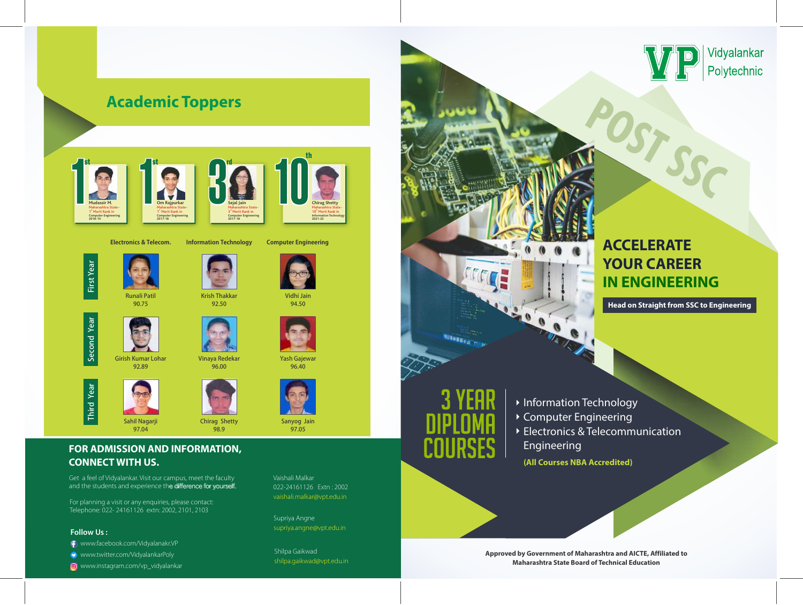Get a feel of Vidyalankar. Visit our campus, meet the faculty and the students and experience the difference for yourself.

> **Approved by Government of Maharashtra and AICTE, Affiliated to Maharashtra State Board of Technical Education**



Information Technology

- Computer Engineering
- Electronics & Telecommunication Engineering
	- **(All Courses NBA Accredited)**

- www.facebook.com/Vidyalanakr.VP
- www.twitter.com/VidyalankarPoly
- **www.instagram.com/vp\_vidyalankar**

**Head on Straight from SSC to Engineering**

## **ACCELERATE YOUR CAREER IN ENGINEERING**

## **FOR ADMISSION AND INFORMATION, CONNECT WITH US.**



For planning a visit or any enquiries, please contact: Telephone: 022- 24161126 extn: 2002, 2101, 2103

### **Follow Us :**

Vaishali Malkar 022-24161126 Extn : 2002 vaishali.malkar@vpt.edu.in

Supriya Angne supriya.angne@vpt.edu.in

Shilpa Gaikwad shilpa.gaikwad@vpt.edu.in

**Stadion** 

97.04

98.9

# 97.05